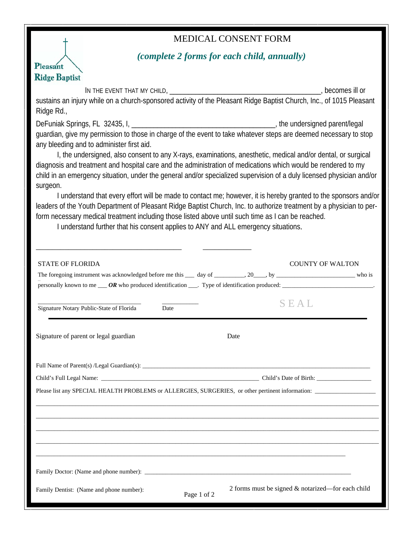## MEDICAL CONSENT FORM



## *(complete 2 forms for each child, annually)*

IN THE EVENT THAT MY CHILD, \_\_\_\_\_\_\_\_\_\_\_\_\_\_\_\_\_\_\_\_\_\_\_\_\_\_\_\_\_\_\_\_\_\_\_\_\_\_\_\_\_, becomes ill or sustains an injury while on a church-sponsored activity of the Pleasant Ridge Baptist Church, Inc., of 1015 Pleasant Ridge Rd., DeFuniak Springs, FL 32435, I, \_\_\_\_\_\_\_\_\_\_\_\_\_\_\_\_\_\_\_\_\_\_\_\_\_\_\_\_\_\_\_\_\_\_\_\_\_\_\_, the undersigned parent/legal guardian, give my permission to those in charge of the event to take whatever steps are deemed necessary to stop any bleeding and to administer first aid. I, the undersigned, also consent to any X-rays, examinations, anesthetic, medical and/or dental, or surgical diagnosis and treatment and hospital care and the administration of medications which would be rendered to my child in an emergency situation, under the general and/or specialized supervision of a duly licensed physician and/or surgeon. I understand that every effort will be made to contact me; however, it is hereby granted to the sponsors and/or leaders of the Youth Department of Pleasant Ridge Baptist Church, Inc. to authorize treatment by a physician to perform necessary medical treatment including those listed above until such time as I can be reached. I understand further that his consent applies to ANY and ALL emergency situations. \_\_\_\_\_\_\_\_\_\_\_\_\_\_\_\_\_\_\_\_\_\_\_\_\_\_\_\_\_\_\_\_\_\_\_\_ \_\_\_\_\_\_\_\_\_\_\_\_ Signature of parent or legal guardian Date Full Name of Parent(s) /Legal Guardian(s): \_\_\_\_\_\_\_\_\_\_\_\_\_\_\_\_\_\_\_\_\_\_\_\_\_\_\_\_\_\_\_\_\_\_\_\_\_\_\_\_\_\_\_\_\_\_\_\_\_\_\_\_\_\_\_\_\_\_\_\_\_\_\_\_\_\_\_\_\_\_\_\_\_\_\_ Child's Full Legal Name: \_\_\_\_\_\_\_\_\_\_\_\_\_\_\_\_\_\_\_\_\_\_\_\_\_\_\_\_\_\_\_\_\_\_\_\_\_\_\_\_\_\_\_\_\_\_\_\_\_\_\_\_ Child's Date of Birth: \_\_\_\_\_\_\_\_\_\_\_\_\_\_\_\_\_\_ Please list any SPECIAL HEALTH PROBLEMS or ALLERGIES, SURGERIES, or other pertinent information: \_\_\_\_\_\_\_\_\_\_\_\_\_\_\_\_\_\_\_\_\_\_\_\_\_\_\_\_\_\_\_\_\_\_\_\_\_\_\_\_\_\_\_\_\_\_\_\_\_\_\_\_\_\_\_\_\_\_\_\_\_\_\_\_\_\_\_\_\_\_\_\_\_\_\_\_\_\_\_\_\_\_\_\_\_\_\_\_\_\_\_\_\_\_\_\_\_\_\_\_\_\_\_\_\_\_\_\_\_\_\_\_\_ \_\_\_\_\_\_\_\_\_\_\_\_\_\_\_\_\_\_\_\_\_\_\_\_\_\_\_\_\_\_\_\_\_\_\_\_\_\_\_\_\_\_\_\_\_\_\_\_\_\_\_\_\_\_\_\_\_\_\_\_\_\_\_\_\_\_\_\_\_\_\_\_\_\_\_\_\_\_\_\_\_\_\_\_\_\_\_\_\_\_\_\_\_\_\_\_\_\_\_\_\_\_\_\_\_\_\_\_\_\_\_\_\_ \_\_\_\_\_\_\_\_\_\_\_\_\_\_\_\_\_\_\_\_\_\_\_\_\_\_\_\_\_\_\_\_\_\_\_\_\_\_\_\_\_\_\_\_\_\_\_\_\_\_\_\_\_\_\_\_\_\_\_\_\_\_\_\_\_\_\_\_\_\_\_\_\_\_\_\_\_\_\_\_\_\_\_\_\_\_\_\_\_\_\_\_\_\_\_\_\_\_\_\_\_\_\_\_\_\_\_\_\_\_\_\_\_ \_\_\_\_\_\_\_\_\_\_\_\_\_\_\_\_\_\_\_\_\_\_\_\_\_\_\_\_\_\_\_\_\_\_\_\_\_\_\_\_\_\_\_\_\_\_\_\_\_\_\_\_\_\_\_\_\_\_\_\_\_\_\_\_\_\_\_\_\_\_\_\_\_\_\_\_\_\_\_\_\_\_\_\_\_\_\_\_\_\_\_\_\_\_\_\_\_\_\_\_\_\_\_\_\_\_\_\_\_\_\_\_\_ \_\_\_\_\_\_\_\_\_\_\_\_\_\_\_\_\_\_\_\_\_\_\_\_\_\_\_\_\_\_\_\_\_\_\_\_\_\_\_\_\_\_\_\_\_\_\_\_\_\_\_\_\_\_\_\_\_\_\_\_\_\_\_\_\_\_\_\_\_\_\_\_\_\_\_\_\_\_\_\_\_\_\_\_\_\_\_\_\_\_\_\_\_\_\_\_\_\_\_\_\_\_ Family Doctor: (Name and phone number):  $\Box$ Family Dentist: (Name and phone number): STATE OF FLORIDA STATE OF THE STATE OF THE STATE OF THE STATE OF THE STATE OF THE STATE OF THE STATE OF THE STATE OF THE STATE OF THE STATE OF THE STATE OF THE STATE OF THE STATE OF THE STATE OF THE STATE OF THE STATE OF T The foregoing instrument was acknowledged before me this  $\_\_$  day of  $\_\_$ , 20 $\_\_$ , by  $\_\_$ , by  $\_\_$ personally known to me \_\_\_ *OR* who produced identification \_\_\_. Type of identification produced: \_\_\_\_\_\_\_\_\_\_\_\_\_\_\_ \_\_\_\_\_\_\_\_\_\_\_\_\_\_\_\_\_\_\_\_\_\_\_\_\_\_\_\_\_\_\_\_\_\_ \_\_\_\_\_\_\_\_\_\_\_\_  $\overline{\text{Signature Notary Public-State of Florida}}$   $\overline{\text{Date}}$   $\overline{\text{Date}}$   $\overline{\text{Date}}$ 2 forms must be signed & notarized—for each child<br>Page 1 of 2